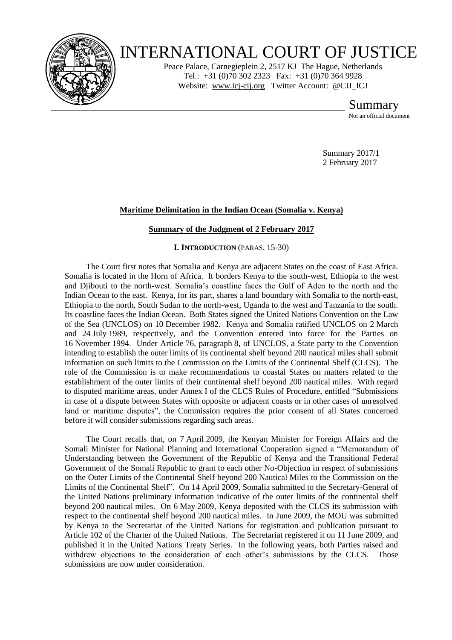

# INTERNATIONAL COURT OF JUSTICE

Peace Palace, Carnegieplein 2, 2517 KJ The Hague, Netherlands Tel.: +31 (0)70 302 2323 Fax: +31 (0)70 364 9928 Website: [www.icj-cij.org](http://www.icj-cij.org/) Twitter Account: [@CIJ\\_ICJ](https://twitter.com/cij_icj)

> Summary Not an official document

Summary 2017/1 2 February 2017

# **Maritime Delimitation in the Indian Ocean (Somalia v. Kenya)**

# **Summary of the Judgment of 2 February 2017**

**I. INTRODUCTION** (PARAS. 15-30)

The Court first notes that Somalia and Kenya are adjacent States on the coast of East Africa. Somalia is located in the Horn of Africa. It borders Kenya to the south-west, Ethiopia to the west and Djibouti to the north-west. Somalia's coastline faces the Gulf of Aden to the north and the Indian Ocean to the east. Kenya, for its part, shares a land boundary with Somalia to the north-east, Ethiopia to the north, South Sudan to the north-west, Uganda to the west and Tanzania to the south. Its coastline faces the Indian Ocean. Both States signed the United Nations Convention on the Law of the Sea (UNCLOS) on 10 December 1982. Kenya and Somalia ratified UNCLOS on 2 March and 24 July 1989, respectively, and the Convention entered into force for the Parties on 16 November 1994. Under Article 76, paragraph 8, of UNCLOS, a State party to the Convention intending to establish the outer limits of its continental shelf beyond 200 nautical miles shall submit information on such limits to the Commission on the Limits of the Continental Shelf (CLCS). The role of the Commission is to make recommendations to coastal States on matters related to the establishment of the outer limits of their continental shelf beyond 200 nautical miles. With regard to disputed maritime areas, under Annex I of the CLCS Rules of Procedure, entitled "Submissions in case of a dispute between States with opposite or adjacent coasts or in other cases of unresolved land or maritime disputes", the Commission requires the prior consent of all States concerned before it will consider submissions regarding such areas.

The Court recalls that, on 7 April 2009, the Kenyan Minister for Foreign Affairs and the Somali Minister for National Planning and International Cooperation signed a "Memorandum of Understanding between the Government of the Republic of Kenya and the Transitional Federal Government of the Somali Republic to grant to each other No-Objection in respect of submissions on the Outer Limits of the Continental Shelf beyond 200 Nautical Miles to the Commission on the Limits of the Continental Shelf". On 14 April 2009, Somalia submitted to the Secretary-General of the United Nations preliminary information indicative of the outer limits of the continental shelf beyond 200 nautical miles. On 6 May 2009, Kenya deposited with the CLCS its submission with respect to the continental shelf beyond 200 nautical miles. In June 2009, the MOU was submitted by Kenya to the Secretariat of the United Nations for registration and publication pursuant to Article 102 of the Charter of the United Nations. The Secretariat registered it on 11 June 2009, and published it in the United Nations Treaty Series. In the following years, both Parties raised and withdrew objections to the consideration of each other's submissions by the CLCS. Those submissions are now under consideration.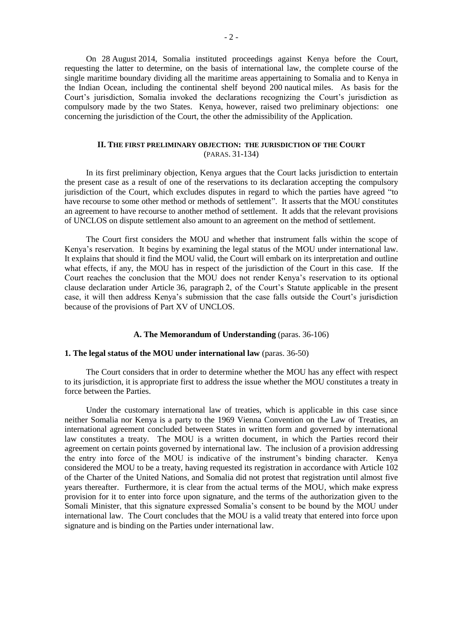On 28 August 2014, Somalia instituted proceedings against Kenya before the Court, requesting the latter to determine, on the basis of international law, the complete course of the single maritime boundary dividing all the maritime areas appertaining to Somalia and to Kenya in the Indian Ocean, including the continental shelf beyond 200 nautical miles. As basis for the Court's jurisdiction, Somalia invoked the declarations recognizing the Court's jurisdiction as compulsory made by the two States. Kenya, however, raised two preliminary objections: one concerning the jurisdiction of the Court, the other the admissibility of the Application.

## **II. THE FIRST PRELIMINARY OBJECTION: THE JURISDICTION OF THE COURT** (PARAS. 31-134)

In its first preliminary objection, Kenya argues that the Court lacks jurisdiction to entertain the present case as a result of one of the reservations to its declaration accepting the compulsory jurisdiction of the Court, which excludes disputes in regard to which the parties have agreed "to have recourse to some other method or methods of settlement". It asserts that the MOU constitutes an agreement to have recourse to another method of settlement. It adds that the relevant provisions of UNCLOS on dispute settlement also amount to an agreement on the method of settlement.

The Court first considers the MOU and whether that instrument falls within the scope of Kenya's reservation. It begins by examining the legal status of the MOU under international law. It explains that should it find the MOU valid, the Court will embark on its interpretation and outline what effects, if any, the MOU has in respect of the jurisdiction of the Court in this case. If the Court reaches the conclusion that the MOU does not render Kenya's reservation to its optional clause declaration under Article 36, paragraph 2, of the Court's Statute applicable in the present case, it will then address Kenya's submission that the case falls outside the Court's jurisdiction because of the provisions of Part XV of UNCLOS.

## **A. The Memorandum of Understanding** (paras. 36-106)

## **1. The legal status of the MOU under international law** (paras. 36-50)

The Court considers that in order to determine whether the MOU has any effect with respect to its jurisdiction, it is appropriate first to address the issue whether the MOU constitutes a treaty in force between the Parties.

Under the customary international law of treaties, which is applicable in this case since neither Somalia nor Kenya is a party to the 1969 Vienna Convention on the Law of Treaties, an international agreement concluded between States in written form and governed by international law constitutes a treaty. The MOU is a written document, in which the Parties record their agreement on certain points governed by international law. The inclusion of a provision addressing the entry into force of the MOU is indicative of the instrument's binding character. Kenya considered the MOU to be a treaty, having requested its registration in accordance with Article 102 of the Charter of the United Nations, and Somalia did not protest that registration until almost five years thereafter. Furthermore, it is clear from the actual terms of the MOU, which make express provision for it to enter into force upon signature, and the terms of the authorization given to the Somali Minister, that this signature expressed Somalia's consent to be bound by the MOU under international law. The Court concludes that the MOU is a valid treaty that entered into force upon signature and is binding on the Parties under international law.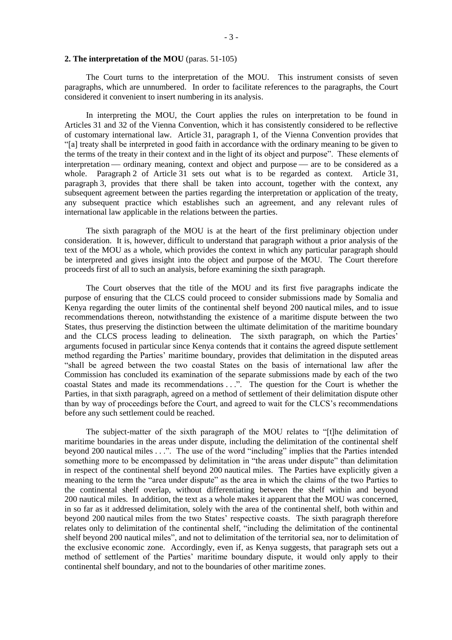#### **2. The interpretation of the MOU** (paras. 51-105)

The Court turns to the interpretation of the MOU. This instrument consists of seven paragraphs, which are unnumbered. In order to facilitate references to the paragraphs, the Court considered it convenient to insert numbering in its analysis.

In interpreting the MOU, the Court applies the rules on interpretation to be found in Articles 31 and 32 of the Vienna Convention, which it has consistently considered to be reflective of customary international law. Article 31, paragraph 1, of the Vienna Convention provides that "[a] treaty shall be interpreted in good faith in accordance with the ordinary meaning to be given to the terms of the treaty in their context and in the light of its object and purpose". These elements of interpretation — ordinary meaning, context and object and purpose — are to be considered as a whole. Paragraph 2 of Article 31 sets out what is to be regarded as context. Article 31, paragraph 3, provides that there shall be taken into account, together with the context, any subsequent agreement between the parties regarding the interpretation or application of the treaty, any subsequent practice which establishes such an agreement, and any relevant rules of international law applicable in the relations between the parties.

The sixth paragraph of the MOU is at the heart of the first preliminary objection under consideration. It is, however, difficult to understand that paragraph without a prior analysis of the text of the MOU as a whole, which provides the context in which any particular paragraph should be interpreted and gives insight into the object and purpose of the MOU. The Court therefore proceeds first of all to such an analysis, before examining the sixth paragraph.

The Court observes that the title of the MOU and its first five paragraphs indicate the purpose of ensuring that the CLCS could proceed to consider submissions made by Somalia and Kenya regarding the outer limits of the continental shelf beyond 200 nautical miles, and to issue recommendations thereon, notwithstanding the existence of a maritime dispute between the two States, thus preserving the distinction between the ultimate delimitation of the maritime boundary and the CLCS process leading to delineation. The sixth paragraph, on which the Parties' arguments focused in particular since Kenya contends that it contains the agreed dispute settlement method regarding the Parties' maritime boundary, provides that delimitation in the disputed areas "shall be agreed between the two coastal States on the basis of international law after the Commission has concluded its examination of the separate submissions made by each of the two coastal States and made its recommendations . . .". The question for the Court is whether the Parties, in that sixth paragraph, agreed on a method of settlement of their delimitation dispute other than by way of proceedings before the Court, and agreed to wait for the CLCS's recommendations before any such settlement could be reached.

The subject-matter of the sixth paragraph of the MOU relates to "[t]he delimitation of maritime boundaries in the areas under dispute, including the delimitation of the continental shelf beyond 200 nautical miles . . .". The use of the word "including" implies that the Parties intended something more to be encompassed by delimitation in "the areas under dispute" than delimitation in respect of the continental shelf beyond 200 nautical miles. The Parties have explicitly given a meaning to the term the "area under dispute" as the area in which the claims of the two Parties to the continental shelf overlap, without differentiating between the shelf within and beyond 200 nautical miles. In addition, the text as a whole makes it apparent that the MOU was concerned, in so far as it addressed delimitation, solely with the area of the continental shelf, both within and beyond 200 nautical miles from the two States' respective coasts. The sixth paragraph therefore relates only to delimitation of the continental shelf, "including the delimitation of the continental shelf beyond 200 nautical miles", and not to delimitation of the territorial sea, nor to delimitation of the exclusive economic zone. Accordingly, even if, as Kenya suggests, that paragraph sets out a method of settlement of the Parties' maritime boundary dispute, it would only apply to their continental shelf boundary, and not to the boundaries of other maritime zones.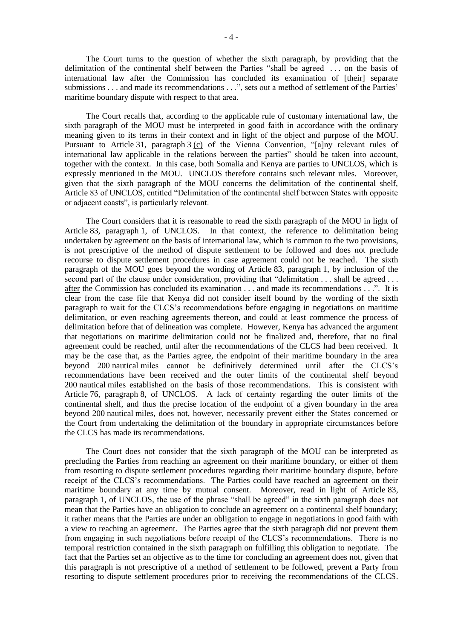The Court turns to the question of whether the sixth paragraph, by providing that the delimitation of the continental shelf between the Parties "shall be agreed . . . on the basis of international law after the Commission has concluded its examination of [their] separate submissions . . . and made its recommendations . . .", sets out a method of settlement of the Parties' maritime boundary dispute with respect to that area.

The Court recalls that, according to the applicable rule of customary international law, the sixth paragraph of the MOU must be interpreted in good faith in accordance with the ordinary meaning given to its terms in their context and in light of the object and purpose of the MOU. Pursuant to Article 31, paragraph 3 (c) of the Vienna Convention, "[a]ny relevant rules of international law applicable in the relations between the parties" should be taken into account, together with the context. In this case, both Somalia and Kenya are parties to UNCLOS, which is expressly mentioned in the MOU. UNCLOS therefore contains such relevant rules. Moreover, given that the sixth paragraph of the MOU concerns the delimitation of the continental shelf, Article 83 of UNCLOS, entitled "Delimitation of the continental shelf between States with opposite or adjacent coasts", is particularly relevant.

The Court considers that it is reasonable to read the sixth paragraph of the MOU in light of Article 83, paragraph 1, of UNCLOS. In that context, the reference to delimitation being undertaken by agreement on the basis of international law, which is common to the two provisions, is not prescriptive of the method of dispute settlement to be followed and does not preclude recourse to dispute settlement procedures in case agreement could not be reached. The sixth paragraph of the MOU goes beyond the wording of Article 83, paragraph 1, by inclusion of the second part of the clause under consideration, providing that "delimitation . . . shall be agreed . . . after the Commission has concluded its examination . . . and made its recommendations . . .". It is clear from the case file that Kenya did not consider itself bound by the wording of the sixth paragraph to wait for the CLCS's recommendations before engaging in negotiations on maritime delimitation, or even reaching agreements thereon, and could at least commence the process of delimitation before that of delineation was complete. However, Kenya has advanced the argument that negotiations on maritime delimitation could not be finalized and, therefore, that no final agreement could be reached, until after the recommendations of the CLCS had been received. It may be the case that, as the Parties agree, the endpoint of their maritime boundary in the area beyond 200 nautical miles cannot be definitively determined until after the CLCS's recommendations have been received and the outer limits of the continental shelf beyond 200 nautical miles established on the basis of those recommendations. This is consistent with Article 76, paragraph 8, of UNCLOS. A lack of certainty regarding the outer limits of the continental shelf, and thus the precise location of the endpoint of a given boundary in the area beyond 200 nautical miles, does not, however, necessarily prevent either the States concerned or the Court from undertaking the delimitation of the boundary in appropriate circumstances before the CLCS has made its recommendations.

The Court does not consider that the sixth paragraph of the MOU can be interpreted as precluding the Parties from reaching an agreement on their maritime boundary, or either of them from resorting to dispute settlement procedures regarding their maritime boundary dispute, before receipt of the CLCS's recommendations. The Parties could have reached an agreement on their maritime boundary at any time by mutual consent. Moreover, read in light of Article 83, paragraph 1, of UNCLOS, the use of the phrase "shall be agreed" in the sixth paragraph does not mean that the Parties have an obligation to conclude an agreement on a continental shelf boundary; it rather means that the Parties are under an obligation to engage in negotiations in good faith with a view to reaching an agreement. The Parties agree that the sixth paragraph did not prevent them from engaging in such negotiations before receipt of the CLCS's recommendations. There is no temporal restriction contained in the sixth paragraph on fulfilling this obligation to negotiate. The fact that the Parties set an objective as to the time for concluding an agreement does not, given that this paragraph is not prescriptive of a method of settlement to be followed, prevent a Party from resorting to dispute settlement procedures prior to receiving the recommendations of the CLCS.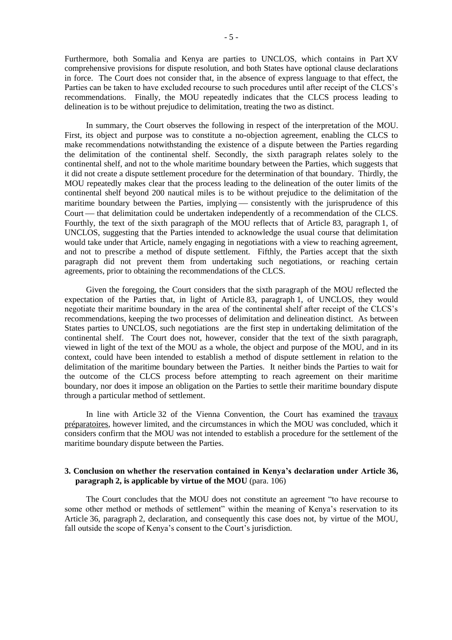Furthermore, both Somalia and Kenya are parties to UNCLOS, which contains in Part XV comprehensive provisions for dispute resolution, and both States have optional clause declarations in force. The Court does not consider that, in the absence of express language to that effect, the Parties can be taken to have excluded recourse to such procedures until after receipt of the CLCS's recommendations. Finally, the MOU repeatedly indicates that the CLCS process leading to delineation is to be without prejudice to delimitation, treating the two as distinct.

In summary, the Court observes the following in respect of the interpretation of the MOU. First, its object and purpose was to constitute a no-objection agreement, enabling the CLCS to make recommendations notwithstanding the existence of a dispute between the Parties regarding the delimitation of the continental shelf. Secondly, the sixth paragraph relates solely to the continental shelf, and not to the whole maritime boundary between the Parties, which suggests that it did not create a dispute settlement procedure for the determination of that boundary. Thirdly, the MOU repeatedly makes clear that the process leading to the delineation of the outer limits of the continental shelf beyond 200 nautical miles is to be without prejudice to the delimitation of the maritime boundary between the Parties, implying — consistently with the jurisprudence of this Court — that delimitation could be undertaken independently of a recommendation of the CLCS. Fourthly, the text of the sixth paragraph of the MOU reflects that of Article 83, paragraph 1, of UNCLOS, suggesting that the Parties intended to acknowledge the usual course that delimitation would take under that Article, namely engaging in negotiations with a view to reaching agreement, and not to prescribe a method of dispute settlement. Fifthly, the Parties accept that the sixth paragraph did not prevent them from undertaking such negotiations, or reaching certain agreements, prior to obtaining the recommendations of the CLCS.

Given the foregoing, the Court considers that the sixth paragraph of the MOU reflected the expectation of the Parties that, in light of Article 83, paragraph 1, of UNCLOS, they would negotiate their maritime boundary in the area of the continental shelf after receipt of the CLCS's recommendations, keeping the two processes of delimitation and delineation distinct. As between States parties to UNCLOS, such negotiations are the first step in undertaking delimitation of the continental shelf. The Court does not, however, consider that the text of the sixth paragraph, viewed in light of the text of the MOU as a whole, the object and purpose of the MOU, and in its context, could have been intended to establish a method of dispute settlement in relation to the delimitation of the maritime boundary between the Parties. It neither binds the Parties to wait for the outcome of the CLCS process before attempting to reach agreement on their maritime boundary, nor does it impose an obligation on the Parties to settle their maritime boundary dispute through a particular method of settlement.

In line with Article 32 of the Vienna Convention, the Court has examined the travaux préparatoires, however limited, and the circumstances in which the MOU was concluded, which it considers confirm that the MOU was not intended to establish a procedure for the settlement of the maritime boundary dispute between the Parties.

## **3. Conclusion on whether the reservation contained in Kenya's declaration under Article 36, paragraph 2, is applicable by virtue of the MOU** (para. 106)

The Court concludes that the MOU does not constitute an agreement "to have recourse to some other method or methods of settlement" within the meaning of Kenya's reservation to its Article 36, paragraph 2, declaration, and consequently this case does not, by virtue of the MOU, fall outside the scope of Kenya's consent to the Court's jurisdiction.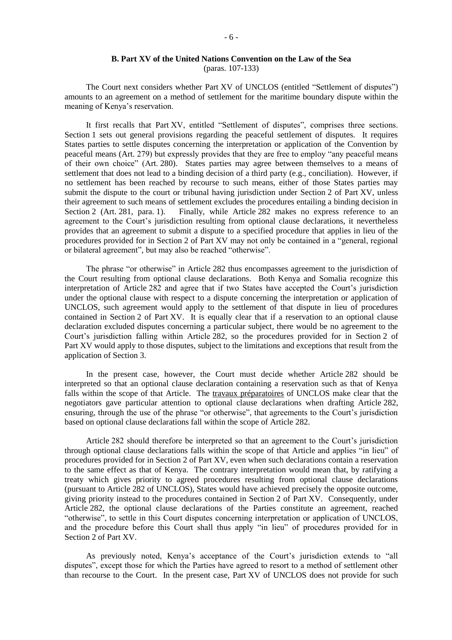# **B. Part XV of the United Nations Convention on the Law of the Sea**

(paras. 107-133)

The Court next considers whether Part XV of UNCLOS (entitled "Settlement of disputes") amounts to an agreement on a method of settlement for the maritime boundary dispute within the meaning of Kenya's reservation.

It first recalls that Part XV, entitled "Settlement of disputes", comprises three sections. Section 1 sets out general provisions regarding the peaceful settlement of disputes. It requires States parties to settle disputes concerning the interpretation or application of the Convention by peaceful means (Art. 279) but expressly provides that they are free to employ "any peaceful means of their own choice" (Art. 280). States parties may agree between themselves to a means of settlement that does not lead to a binding decision of a third party (e.g., conciliation). However, if no settlement has been reached by recourse to such means, either of those States parties may submit the dispute to the court or tribunal having jurisdiction under Section 2 of Part XV, unless their agreement to such means of settlement excludes the procedures entailing a binding decision in Section 2 (Art. 281, para. 1). Finally, while Article 282 makes no express reference to an agreement to the Court's jurisdiction resulting from optional clause declarations, it nevertheless provides that an agreement to submit a dispute to a specified procedure that applies in lieu of the procedures provided for in Section 2 of Part XV may not only be contained in a "general, regional or bilateral agreement", but may also be reached "otherwise".

The phrase "or otherwise" in Article 282 thus encompasses agreement to the jurisdiction of the Court resulting from optional clause declarations. Both Kenya and Somalia recognize this interpretation of Article 282 and agree that if two States have accepted the Court's jurisdiction under the optional clause with respect to a dispute concerning the interpretation or application of UNCLOS, such agreement would apply to the settlement of that dispute in lieu of procedures contained in Section 2 of Part XV. It is equally clear that if a reservation to an optional clause declaration excluded disputes concerning a particular subject, there would be no agreement to the Court's jurisdiction falling within Article 282, so the procedures provided for in Section 2 of Part XV would apply to those disputes, subject to the limitations and exceptions that result from the application of Section 3.

In the present case, however, the Court must decide whether Article 282 should be interpreted so that an optional clause declaration containing a reservation such as that of Kenya falls within the scope of that Article. The travaux préparatoires of UNCLOS make clear that the negotiators gave particular attention to optional clause declarations when drafting Article 282, ensuring, through the use of the phrase "or otherwise", that agreements to the Court's jurisdiction based on optional clause declarations fall within the scope of Article 282.

Article 282 should therefore be interpreted so that an agreement to the Court's jurisdiction through optional clause declarations falls within the scope of that Article and applies "in lieu" of procedures provided for in Section 2 of Part XV, even when such declarations contain a reservation to the same effect as that of Kenya. The contrary interpretation would mean that, by ratifying a treaty which gives priority to agreed procedures resulting from optional clause declarations (pursuant to Article 282 of UNCLOS), States would have achieved precisely the opposite outcome, giving priority instead to the procedures contained in Section 2 of Part XV. Consequently, under Article 282, the optional clause declarations of the Parties constitute an agreement, reached "otherwise", to settle in this Court disputes concerning interpretation or application of UNCLOS, and the procedure before this Court shall thus apply "in lieu" of procedures provided for in Section 2 of Part XV.

As previously noted, Kenya's acceptance of the Court's jurisdiction extends to "all disputes", except those for which the Parties have agreed to resort to a method of settlement other than recourse to the Court. In the present case, Part XV of UNCLOS does not provide for such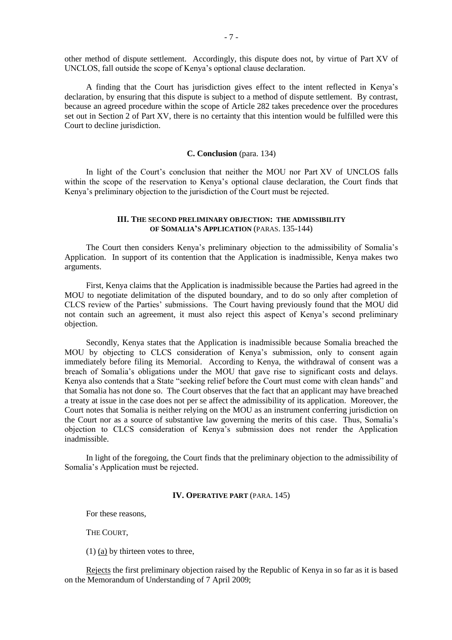other method of dispute settlement. Accordingly, this dispute does not, by virtue of Part XV of UNCLOS, fall outside the scope of Kenya's optional clause declaration.

A finding that the Court has jurisdiction gives effect to the intent reflected in Kenya's declaration, by ensuring that this dispute is subject to a method of dispute settlement. By contrast, because an agreed procedure within the scope of Article 282 takes precedence over the procedures set out in Section 2 of Part XV, there is no certainty that this intention would be fulfilled were this Court to decline jurisdiction.

### **C. Conclusion** (para. 134)

In light of the Court's conclusion that neither the MOU nor Part XV of UNCLOS falls within the scope of the reservation to Kenya's optional clause declaration, the Court finds that Kenya's preliminary objection to the jurisdiction of the Court must be rejected.

## **III. THE SECOND PRELIMINARY OBJECTION: THE ADMISSIBILITY OF SOMALIA'S APPLICATION** (PARAS. 135-144)

The Court then considers Kenya's preliminary objection to the admissibility of Somalia's Application. In support of its contention that the Application is inadmissible, Kenya makes two arguments.

First, Kenya claims that the Application is inadmissible because the Parties had agreed in the MOU to negotiate delimitation of the disputed boundary, and to do so only after completion of CLCS review of the Parties' submissions. The Court having previously found that the MOU did not contain such an agreement, it must also reject this aspect of Kenya's second preliminary objection.

Secondly, Kenya states that the Application is inadmissible because Somalia breached the MOU by objecting to CLCS consideration of Kenya's submission, only to consent again immediately before filing its Memorial. According to Kenya, the withdrawal of consent was a breach of Somalia's obligations under the MOU that gave rise to significant costs and delays. Kenya also contends that a State "seeking relief before the Court must come with clean hands" and that Somalia has not done so. The Court observes that the fact that an applicant may have breached a treaty at issue in the case does not per se affect the admissibility of its application. Moreover, the Court notes that Somalia is neither relying on the MOU as an instrument conferring jurisdiction on the Court nor as a source of substantive law governing the merits of this case. Thus, Somalia's objection to CLCS consideration of Kenya's submission does not render the Application inadmissible.

In light of the foregoing, the Court finds that the preliminary objection to the admissibility of Somalia's Application must be rejected.

# **IV. OPERATIVE PART** (PARA. 145)

For these reasons,

THE COURT,

(1) (a) by thirteen votes to three,

Rejects the first preliminary objection raised by the Republic of Kenya in so far as it is based on the Memorandum of Understanding of 7 April 2009;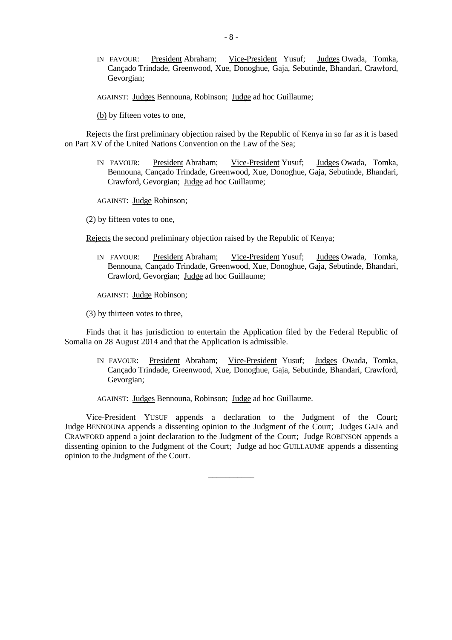IN FAVOUR: President Abraham; Vice-President Yusuf; Judges Owada, Tomka, Cançado Trindade, Greenwood, Xue, Donoghue, Gaja, Sebutinde, Bhandari, Crawford, Gevorgian;

AGAINST: Judges Bennouna, Robinson; Judge ad hoc Guillaume;

(b) by fifteen votes to one,

Rejects the first preliminary objection raised by the Republic of Kenya in so far as it is based on Part XV of the United Nations Convention on the Law of the Sea;

IN FAVOUR: President Abraham; Vice-President Yusuf; Judges Owada, Tomka, Bennouna, Cançado Trindade, Greenwood, Xue, Donoghue, Gaja, Sebutinde, Bhandari, Crawford, Gevorgian; Judge ad hoc Guillaume;

AGAINST: Judge Robinson;

(2) by fifteen votes to one,

Rejects the second preliminary objection raised by the Republic of Kenya;

IN FAVOUR: President Abraham; Vice-President Yusuf; Judges Owada, Tomka, Bennouna, Cançado Trindade, Greenwood, Xue, Donoghue, Gaja, Sebutinde, Bhandari, Crawford, Gevorgian; Judge ad hoc Guillaume;

AGAINST: Judge Robinson;

(3) by thirteen votes to three,

Finds that it has jurisdiction to entertain the Application filed by the Federal Republic of Somalia on 28 August 2014 and that the Application is admissible.

- IN FAVOUR: President Abraham; Vice-President Yusuf; Judges Owada, Tomka, Cançado Trindade, Greenwood, Xue, Donoghue, Gaja, Sebutinde, Bhandari, Crawford, Gevorgian;
- AGAINST: Judges Bennouna, Robinson; Judge ad hoc Guillaume.

Vice-President YUSUF appends a declaration to the Judgment of the Court; Judge BENNOUNA appends a dissenting opinion to the Judgment of the Court; Judges GAJA and CRAWFORD append a joint declaration to the Judgment of the Court; Judge ROBINSON appends a dissenting opinion to the Judgment of the Court; Judge ad hoc GUILLAUME appends a dissenting opinion to the Judgment of the Court.

\_\_\_\_\_\_\_\_\_\_\_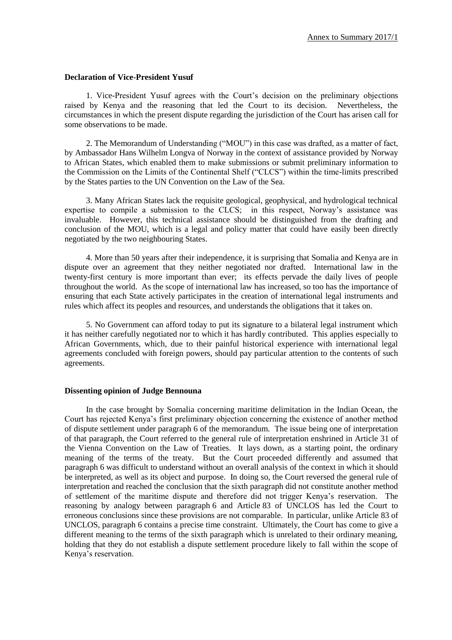## **Declaration of Vice-President Yusuf**

1. Vice-President Yusuf agrees with the Court's decision on the preliminary objections raised by Kenya and the reasoning that led the Court to its decision. Nevertheless, the circumstances in which the present dispute regarding the jurisdiction of the Court has arisen call for some observations to be made.

2. The Memorandum of Understanding ("MOU") in this case was drafted, as a matter of fact, by Ambassador Hans Wilhelm Longva of Norway in the context of assistance provided by Norway to African States, which enabled them to make submissions or submit preliminary information to the Commission on the Limits of the Continental Shelf ("CLCS") within the time-limits prescribed by the States parties to the UN Convention on the Law of the Sea.

3. Many African States lack the requisite geological, geophysical, and hydrological technical expertise to compile a submission to the CLCS; in this respect, Norway's assistance was invaluable. However, this technical assistance should be distinguished from the drafting and conclusion of the MOU, which is a legal and policy matter that could have easily been directly negotiated by the two neighbouring States.

4. More than 50 years after their independence, it is surprising that Somalia and Kenya are in dispute over an agreement that they neither negotiated nor drafted. International law in the twenty-first century is more important than ever; its effects pervade the daily lives of people throughout the world. As the scope of international law has increased, so too has the importance of ensuring that each State actively participates in the creation of international legal instruments and rules which affect its peoples and resources, and understands the obligations that it takes on.

5. No Government can afford today to put its signature to a bilateral legal instrument which it has neither carefully negotiated nor to which it has hardly contributed. This applies especially to African Governments, which, due to their painful historical experience with international legal agreements concluded with foreign powers, should pay particular attention to the contents of such agreements.

## **Dissenting opinion of Judge Bennouna**

In the case brought by Somalia concerning maritime delimitation in the Indian Ocean, the Court has rejected Kenya's first preliminary objection concerning the existence of another method of dispute settlement under paragraph 6 of the memorandum. The issue being one of interpretation of that paragraph, the Court referred to the general rule of interpretation enshrined in Article 31 of the Vienna Convention on the Law of Treaties. It lays down, as a starting point, the ordinary meaning of the terms of the treaty. But the Court proceeded differently and assumed that paragraph 6 was difficult to understand without an overall analysis of the context in which it should be interpreted, as well as its object and purpose. In doing so, the Court reversed the general rule of interpretation and reached the conclusion that the sixth paragraph did not constitute another method of settlement of the maritime dispute and therefore did not trigger Kenya's reservation. The reasoning by analogy between paragraph 6 and Article 83 of UNCLOS has led the Court to erroneous conclusions since these provisions are not comparable. In particular, unlike Article 83 of UNCLOS, paragraph 6 contains a precise time constraint. Ultimately, the Court has come to give a different meaning to the terms of the sixth paragraph which is unrelated to their ordinary meaning, holding that they do not establish a dispute settlement procedure likely to fall within the scope of Kenya's reservation.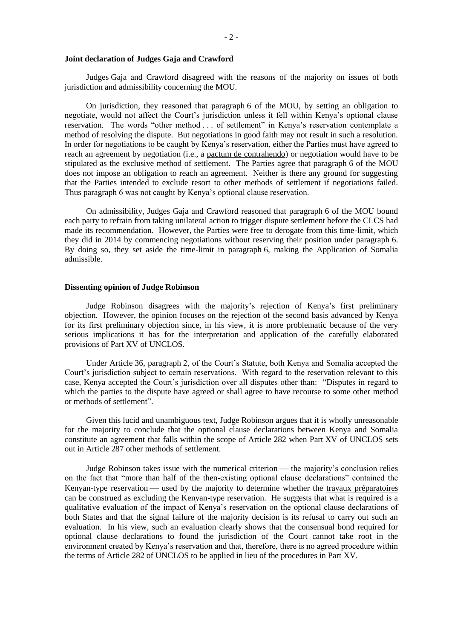Judges Gaja and Crawford disagreed with the reasons of the majority on issues of both jurisdiction and admissibility concerning the MOU.

On jurisdiction, they reasoned that paragraph 6 of the MOU, by setting an obligation to negotiate, would not affect the Court's jurisdiction unless it fell within Kenya's optional clause reservation*.* The words "other method . . . of settlement" in Kenya's reservation contemplate a method of resolving the dispute. But negotiations in good faith may not result in such a resolution. In order for negotiations to be caught by Kenya's reservation, either the Parties must have agreed to reach an agreement by negotiation (i.e., a pactum de contrahendo) or negotiation would have to be stipulated as the exclusive method of settlement. The Parties agree that paragraph 6 of the MOU does not impose an obligation to reach an agreement. Neither is there any ground for suggesting that the Parties intended to exclude resort to other methods of settlement if negotiations failed. Thus paragraph 6 was not caught by Kenya's optional clause reservation.

On admissibility, Judges Gaja and Crawford reasoned that paragraph 6 of the MOU bound each party to refrain from taking unilateral action to trigger dispute settlement before the CLCS had made its recommendation. However, the Parties were free to derogate from this time-limit, which they did in 2014 by commencing negotiations without reserving their position under paragraph 6. By doing so, they set aside the time-limit in paragraph 6, making the Application of Somalia admissible.

## **Dissenting opinion of Judge Robinson**

Judge Robinson disagrees with the majority's rejection of Kenya's first preliminary objection. However, the opinion focuses on the rejection of the second basis advanced by Kenya for its first preliminary objection since, in his view, it is more problematic because of the very serious implications it has for the interpretation and application of the carefully elaborated provisions of Part XV of UNCLOS.

Under Article 36, paragraph 2, of the Court's Statute, both Kenya and Somalia accepted the Court's jurisdiction subject to certain reservations. With regard to the reservation relevant to this case, Kenya accepted the Court's jurisdiction over all disputes other than: "Disputes in regard to which the parties to the dispute have agreed or shall agree to have recourse to some other method or methods of settlement".

Given this lucid and unambiguous text, Judge Robinson argues that it is wholly unreasonable for the majority to conclude that the optional clause declarations between Kenya and Somalia constitute an agreement that falls within the scope of Article 282 when Part XV of UNCLOS sets out in Article 287 other methods of settlement.

Judge Robinson takes issue with the numerical criterion — the majority's conclusion relies on the fact that "more than half of the then-existing optional clause declarations" contained the Kenyan-type reservation — used by the majority to determine whether the travaux préparatoires can be construed as excluding the Kenyan-type reservation. He suggests that what is required is a qualitative evaluation of the impact of Kenya's reservation on the optional clause declarations of both States and that the signal failure of the majority decision is its refusal to carry out such an evaluation. In his view, such an evaluation clearly shows that the consensual bond required for optional clause declarations to found the jurisdiction of the Court cannot take root in the environment created by Kenya's reservation and that, therefore, there is no agreed procedure within the terms of Article 282 of UNCLOS to be applied in lieu of the procedures in Part XV.